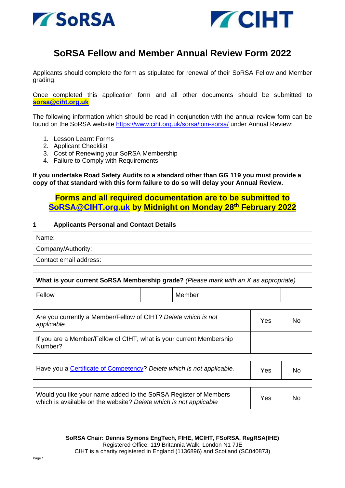



# **SoRSA Fellow and Member Annual Review Form 2022**

Applicants should complete the form as stipulated for renewal of their SoRSA Fellow and Member grading.

Once completed this application form and all other documents should be submitted to **[sorsa@ciht.org.uk](mailto:sorsa@ciht.org.uk)**

The following information which should be read in conjunction with the annual review form can be found on the SoRSA website <https://www.ciht.org.uk/sorsa/join-sorsa/> under Annual Review:

- 1. Lesson Learnt Forms
- 2. Applicant Checklist
- 3. Cost of Renewing your SoRSA Membership
- 4. Failure to Comply with Requirements

**If you undertake Road Safety Audits to a standard other than GG 119 you must provide a copy of that standard with this form failure to do so will delay your Annual Review.**

# **Forms and all required documentation are to be submitted to [SoRSA@CIHT.org.uk](mailto:SoRSA@CIHT.org.uk) by Midnight on Monday 28th February 2022**

#### **1 Applicants Personal and Contact Details**

| Name:                  |  |
|------------------------|--|
| Company/Authority:     |  |
| Contact email address: |  |

| What is your current SoRSA Membership grade? (Please mark with an X as appropriate) |  |        |  |  |  |
|-------------------------------------------------------------------------------------|--|--------|--|--|--|
| Fellow                                                                              |  | Member |  |  |  |

| Are you currently a Member/Fellow of CIHT? Delete which is not<br>applicable   | Yes | No |
|--------------------------------------------------------------------------------|-----|----|
| If you are a Member/Fellow of CIHT, what is your current Membership<br>Number? |     |    |

| Have you a Certificate of Competency? Delete which is not applicable.                                                                |     | No |
|--------------------------------------------------------------------------------------------------------------------------------------|-----|----|
| Would you like your name added to the SoRSA Register of Members<br>which is available on the website? Delete which is not applicable | Yes | No |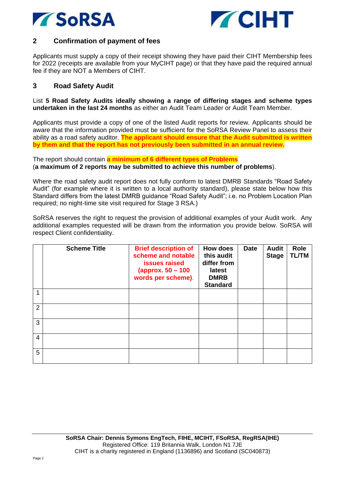



## **2 Confirmation of payment of fees**

Applicants must supply a copy of their receipt showing they have paid their CIHT Membership fees for 2022 (receipts are available from your MyCIHT page) or that they have paid the required annual fee if they are NOT a Members of CIHT.

## **3 Road Safety Audit**

List **5 Road Safety Audits ideally showing a range of differing stages and scheme types undertaken in the last 24 months** as either an Audit Team Leader or Audit Team Member.

Applicants must provide a copy of one of the listed Audit reports for review. Applicants should be aware that the information provided must be sufficient for the SoRSA Review Panel to assess their ability as a road safety auditor. **The applicant should ensure that the Audit submitted is written by them and that the report has not previously been submitted in an annual review.**

The report should contain **a minimum of 6 different types of Problems** (**a maximum of 2 reports may be submitted to achieve this number of problems**).

Where the road safety audit report does not fully conform to latest DMRB Standards "Road Safety Audit" (for example where it is written to a local authority standard), please state below how this Standard differs from the latest DMRB guidance "Road Safety Audit"; i.e. no Problem Location Plan required; no night-time site visit required for Stage 3 RSA.)

SoRSA reserves the right to request the provision of additional examples of your Audit work. Any additional examples requested will be drawn from the information you provide below. SoRSA will respect Client confidentiality.

|                | <b>Scheme Title</b> | <b>Brief description of</b><br>scheme and notable<br>issues raised<br>(approx. 50 – 100<br>words per scheme). | How does<br>this audit<br>differ from<br>latest<br><b>DMRB</b><br><b>Standard</b> | <b>Date</b> | <b>Audit</b><br><b>Stage</b> | <b>Role</b><br><b>TL/TM</b> |
|----------------|---------------------|---------------------------------------------------------------------------------------------------------------|-----------------------------------------------------------------------------------|-------------|------------------------------|-----------------------------|
|                |                     |                                                                                                               |                                                                                   |             |                              |                             |
| $\overline{2}$ |                     |                                                                                                               |                                                                                   |             |                              |                             |
| 3              |                     |                                                                                                               |                                                                                   |             |                              |                             |
| 4              |                     |                                                                                                               |                                                                                   |             |                              |                             |
| 5              |                     |                                                                                                               |                                                                                   |             |                              |                             |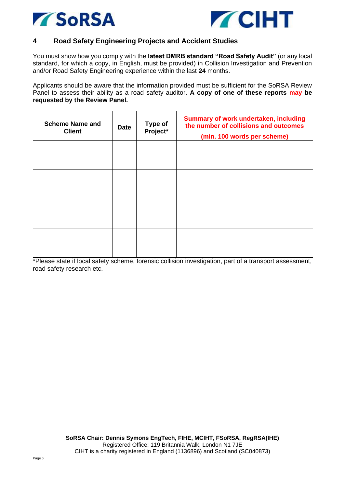



## **4 Road Safety Engineering Projects and Accident Studies**

You must show how you comply with the **latest DMRB standard "Road Safety Audit"** (or any local standard, for which a copy, in English, must be provided) in Collision Investigation and Prevention and/or Road Safety Engineering experience within the last **24** months.

Applicants should be aware that the information provided must be sufficient for the SoRSA Review Panel to assess their ability as a road safety auditor. **A copy of one of these reports may be requested by the Review Panel.**

| <b>Scheme Name and</b><br><b>Client</b> | <b>Date</b> | <b>Type of</b><br>Project* | Summary of work undertaken, including<br>the number of collisions and outcomes<br>(min. 100 words per scheme) |
|-----------------------------------------|-------------|----------------------------|---------------------------------------------------------------------------------------------------------------|
|                                         |             |                            |                                                                                                               |
|                                         |             |                            |                                                                                                               |
|                                         |             |                            |                                                                                                               |
|                                         |             |                            |                                                                                                               |

\*Please state if local safety scheme, forensic collision investigation, part of a transport assessment, road safety research etc.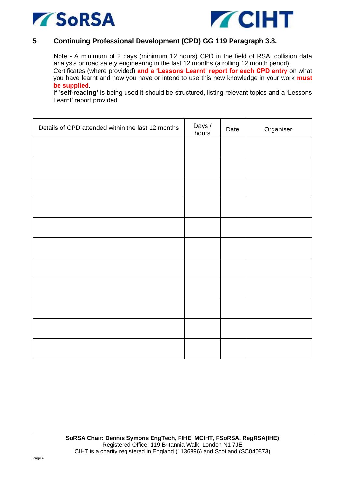



#### **5 Continuing Professional Development (CPD) GG 119 Paragraph 3.8.**

Note - A minimum of 2 days (minimum 12 hours) CPD in the field of RSA, collision data analysis or road safety engineering in the last 12 months (a rolling 12 month period). Certificates (where provided) **and a 'Lessons Learnt' report for each CPD entry** on what you have learnt and how you have or intend to use this new knowledge in your work **must be supplied**.

If '**self-reading'** is being used it should be structured, listing relevant topics and a 'Lessons Learnt' report provided.

| Details of CPD attended within the last 12 months | Days /<br>hours | Date | Organiser |
|---------------------------------------------------|-----------------|------|-----------|
|                                                   |                 |      |           |
|                                                   |                 |      |           |
|                                                   |                 |      |           |
|                                                   |                 |      |           |
|                                                   |                 |      |           |
|                                                   |                 |      |           |
|                                                   |                 |      |           |
|                                                   |                 |      |           |
|                                                   |                 |      |           |
|                                                   |                 |      |           |
|                                                   |                 |      |           |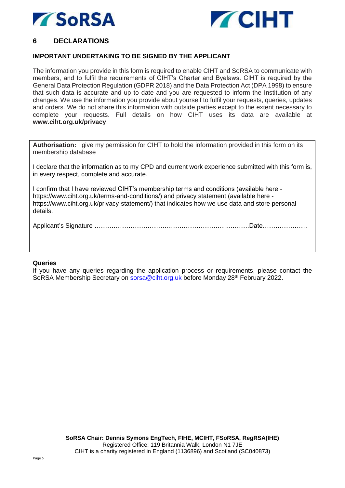



## **6 DECLARATIONS**

#### **IMPORTANT UNDERTAKING TO BE SIGNED BY THE APPLICANT**

The information you provide in this form is required to enable CIHT and SoRSA to communicate with members, and to fulfil the requirements of CIHT's Charter and Byelaws. CIHT is required by the General Data Protection Regulation (GDPR 2018) and the Data Protection Act (DPA 1998) to ensure that such data is accurate and up to date and you are requested to inform the Institution of any changes. We use the information you provide about yourself to fulfil your requests, queries, updates and orders. We do not share this information with outside parties except to the extent necessary to complete your requests. Full details on how CIHT uses its data are available at **www.ciht.org.uk/privacy**.

**Authorisation:** I give my permission for CIHT to hold the information provided in this form on its membership database

I declare that the information as to my CPD and current work experience submitted with this form is, in every respect, complete and accurate.

I confirm that I have reviewed CIHT's membership terms and conditions (available here https://www.ciht.org.uk/terms-and-conditions/) and privacy statement (available here https://www.ciht.org.uk/privacy-statement/) that indicates how we use data and store personal details.

Applicant's Signature ……………………………………………………………….Date…………………

#### **Queries**

If you have any queries regarding the application process or requirements, please contact the SoRSA Membership Secretary on [sorsa@ciht.org.uk](mailto:sorsa@ciht.org.uk) before Monday 28<sup>th</sup> February 2022.